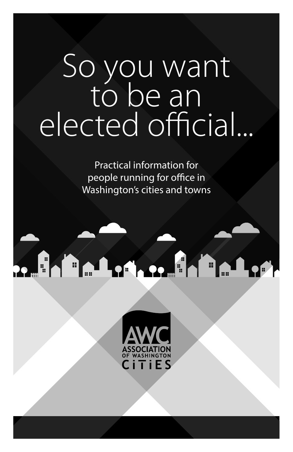# So you want to be an elected official...

Practical information for people running for office in Washington's cities and towns

# re Hallen, re Hallen

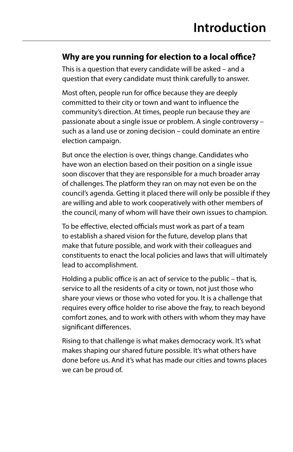#### **Why are you running for election to a local office?**

This is a question that every candidate will be asked – and a question that every candidate must think carefully to answer.

Most often, people run for office because they are deeply committed to their city or town and want to influence the community's direction. At times, people run because they are passionate about a single issue or problem. A single controversy – such as a land use or zoning decision – could dominate an entire election campaign.

But once the election is over, things change. Candidates who have won an election based on their position on a single issue soon discover that they are responsible for a much broader array of challenges. The platform they ran on may not even be on the council's agenda. Getting it placed there will only be possible if they are willing and able to work cooperatively with other members of the council, many of whom will have their own issues to champion.

To be effective, elected officials must work as part of a team to establish a shared vision for the future, develop plans that make that future possible, and work with their colleagues and constituents to enact the local policies and laws that will ultimately lead to accomplishment.

Holding a public office is an act of service to the public – that is, service to all the residents of a city or town, not just those who share your views or those who voted for you. It is a challenge that requires every office holder to rise above the fray, to reach beyond comfort zones, and to work with others with whom they may have significant differences.

Rising to that challenge is what makes democracy work. It's what makes shaping our shared future possible. It's what others have done before us. And it's what has made our cities and towns places we can be proud of.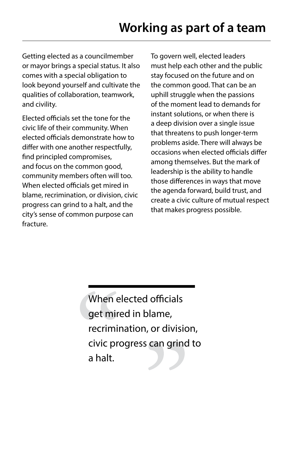Getting elected as a councilmember or mayor brings a special status. It also comes with a special obligation to look beyond yourself and cultivate the qualities of collaboration, teamwork, and civility.

Elected officials set the tone for the civic life of their community. When elected officials demonstrate how to differ with one another respectfully, find principled compromises, and focus on the common good, community members often will too. When elected officials get mired in blame, recrimination, or division, civic progress can grind to a halt, and the city's sense of common purpose can fracture.

To govern well, elected leaders must help each other and the public stay focused on the future and on the common good. That can be an uphill struggle when the passions of the moment lead to demands for instant solutions, or when there is a deep division over a single issue that threatens to push longer-term problems aside. There will always be occasions when elected officials differ among themselves. But the mark of leadership is the ability to handle those differences in ways that move the agenda forward, build trust, and create a civic culture of mutual respect that makes progress possible.

When elected officials get mired in blame, recrimination, or division, civic progress can grind to a halt.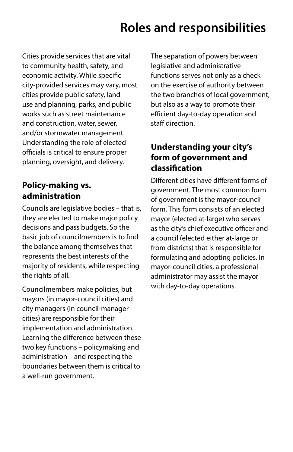Cities provide services that are vital to community health, safety, and economic activity. While specific city-provided services may vary, most cities provide public safety, land use and planning, parks, and public works such as street maintenance and construction, water, sewer, and/or stormwater management. Understanding the role of elected officials is critical to ensure proper planning, oversight, and delivery.

# **Policy-making vs. administration**

Councils are legislative bodies – that is, they are elected to make major policy decisions and pass budgets. So the basic job of councilmembers is to find the balance among themselves that represents the best interests of the majority of residents, while respecting the rights of all.

Councilmembers make policies, but mayors (in mayor-council cities) and city managers (in council-manager cities) are responsible for their implementation and administration. Learning the difference between these two key functions – policymaking and administration – and respecting the boundaries between them is critical to a well-run government.

The separation of powers between legislative and administrative functions serves not only as a check on the exercise of authority between the two branches of local government, but also as a way to promote their efficient day-to-day operation and staff direction.

# **Understanding your city's form of government and classification**

Different cities have different forms of government. The most common form of government is the mayor-council form. This form consists of an elected mayor (elected at-large) who serves as the city's chief executive officer and a council (elected either at-large or from districts) that is responsible for formulating and adopting policies. In mayor-council cities, a professional administrator may assist the mayor with day-to-day operations.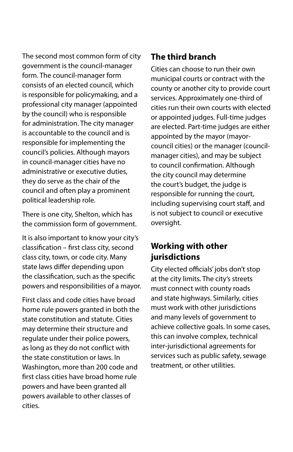The second most common form of city government is the council-manager form. The council-manager form consists of an elected council, which is responsible for policymaking, and a professional city manager (appointed by the council) who is responsible for administration. The city manager is accountable to the council and is responsible for implementing the council's policies. Although mayors in council-manager cities have no administrative or executive duties, they do serve as the chair of the council and often play a prominent political leadership role.

There is one city, Shelton, which has the commission form of government.

It is also important to know your city's classification – first class city, second class city, town, or code city. Many state laws differ depending upon the classification, such as the specific powers and responsibilities of a mayor.

First class and code cities have broad home rule powers granted in both the state constitution and statute. Cities may determine their structure and regulate under their police powers, as long as they do not conflict with the state constitution or laws. In Washington, more than 200 code and first class cities have broad home rule powers and have been granted all powers available to other classes of cities.

### **The third branch**

Cities can choose to run their own municipal courts or contract with the county or another city to provide court services. Approximately one-third of cities run their own courts with elected or appointed judges. Full-time judges are elected. Part-time judges are either appointed by the mayor (mayorcouncil cities) or the manager (councilmanager cities), and may be subject to council confirmation. Although the city council may determine the court's budget, the judge is responsible for running the court, including supervising court staff, and is not subject to council or executive oversight.

### **Working with other jurisdictions**

City elected officials' jobs don't stop at the city limits. The city's streets must connect with county roads and state highways. Similarly, cities must work with other jurisdictions and many levels of government to achieve collective goals. In some cases, this can involve complex, technical inter-jurisdictional agreements for services such as public safety, sewage treatment, or other utilities.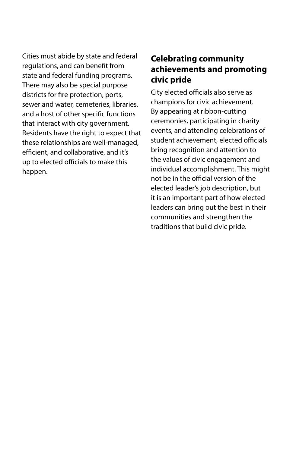Cities must abide by state and federal regulations, and can benefit from state and federal funding programs. There may also be special purpose districts for fire protection, ports, sewer and water, cemeteries, libraries, and a host of other specific functions that interact with city government. Residents have the right to expect that these relationships are well-managed, efficient, and collaborative, and it's up to elected officials to make this happen.

### **Celebrating community achievements and promoting civic pride**

City elected officials also serve as champions for civic achievement. By appearing at ribbon-cutting ceremonies, participating in charity events, and attending celebrations of student achievement, elected officials bring recognition and attention to the values of civic engagement and individual accomplishment. This might not be in the official version of the elected leader's job description, but it is an important part of how elected leaders can bring out the best in their communities and strengthen the traditions that build civic pride.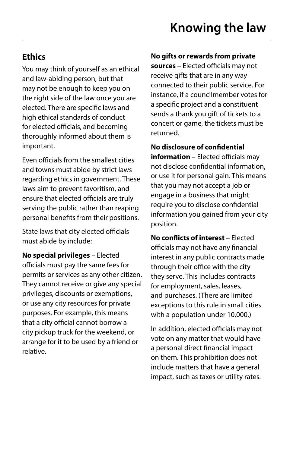# **Ethics**

You may think of yourself as an ethical and law-abiding person, but that may not be enough to keep you on the right side of the law once you are elected. There are specific laws and high ethical standards of conduct for elected officials, and becoming thoroughly informed about them is important.

Even officials from the smallest cities and towns must abide by strict laws regarding ethics in government. These laws aim to prevent favoritism, and ensure that elected officials are truly serving the public rather than reaping personal benefits from their positions.

State laws that city elected officials must abide by include:

**No special privileges** – Elected officials must pay the same fees for permits or services as any other citizen. They cannot receive or give any special privileges, discounts or exemptions, or use any city resources for private purposes. For example, this means that a city official cannot borrow a city pickup truck for the weekend, or arrange for it to be used by a friend or relative.

#### **No gifts or rewards from private**

**sources** – Elected officials may not receive gifts that are in any way connected to their public service. For instance, if a councilmember votes for a specific project and a constituent sends a thank you gift of tickets to a concert or game, the tickets must be returned.

**No disclosure of confidential information** – Elected officials may not disclose confidential information, or use it for personal gain. This means that you may not accept a job or engage in a business that might require you to disclose confidential information you gained from your city position.

**No conflicts of interest** – Elected officials may not have any financial interest in any public contracts made through their office with the city they serve. This includes contracts for employment, sales, leases, and purchases. (There are limited exceptions to this rule in small cities with a population under 10,000.)

In addition, elected officials may not vote on any matter that would have a personal direct financial impact on them. This prohibition does not include matters that have a general impact, such as taxes or utility rates.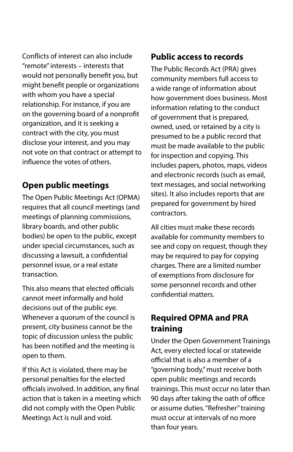Conflicts of interest can also include "remote" interests – interests that would not personally benefit you, but might benefit people or organizations with whom you have a special relationship. For instance, if you are on the governing board of a nonprofit organization, and it is seeking a contract with the city, you must disclose your interest, and you may not vote on that contract or attempt to influence the votes of others.

# **Open public meetings**

The Open Public Meetings Act (OPMA) requires that all council meetings (and meetings of planning commissions, library boards, and other public bodies) be open to the public, except under special circumstances, such as discussing a lawsuit, a confidential personnel issue, or a real estate transaction.

This also means that elected officials cannot meet informally and hold decisions out of the public eye. Whenever a quorum of the council is present, city business cannot be the topic of discussion unless the public has been notified and the meeting is open to them.

If this Act is violated, there may be personal penalties for the elected officials involved. In addition, any final action that is taken in a meeting which did not comply with the Open Public Meetings Act is null and void.

#### **Public access to records**

The Public Records Act (PRA) gives community members full access to a wide range of information about how government does business. Most information relating to the conduct of government that is prepared, owned, used, or retained by a city is presumed to be a public record that must be made available to the public for inspection and copying. This includes papers, photos, maps, videos and electronic records (such as email, text messages, and social networking sites). It also includes reports that are prepared for government by hired contractors.

All cities must make these records available for community members to see and copy on request, though they may be required to pay for copying charges. There are a limited number of exemptions from disclosure for some personnel records and other confidential matters.

# **Required OPMA and PRA training**

Under the Open Government Trainings Act, every elected local or statewide official that is also a member of a "governing body," must receive both open public meetings and records trainings. This must occur no later than 90 days after taking the oath of office or assume duties. "Refresher" training must occur at intervals of no more than four years.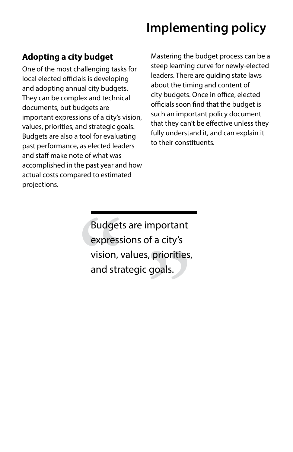# **Adopting a city budget**

One of the most challenging tasks for local elected officials is developing and adopting annual city budgets. They can be complex and technical documents, but budgets are important expressions of a city's vision, values, priorities, and strategic goals. Budgets are also a tool for evaluating past performance, as elected leaders and staff make note of what was accomplished in the past year and how actual costs compared to estimated projections.

Mastering the budget process can be a steep learning curve for newly-elected leaders. There are guiding state laws about the timing and content of city budgets. Once in office, elected officials soon find that the budget is such an important policy document that they can't be effective unless they fully understand it, and can explain it to their constituents.

Budgets are important expressions of a city's vision, values, priorities, and strategic goals.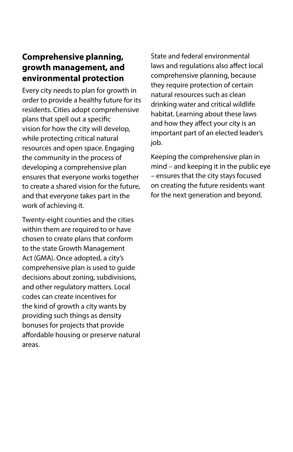#### **Comprehensive planning, growth management, and environmental protection**

Every city needs to plan for growth in order to provide a healthy future for its residents. Cities adopt comprehensive plans that spell out a specific vision for how the city will develop, while protecting critical natural resources and open space. Engaging the community in the process of developing a comprehensive plan ensures that everyone works together to create a shared vision for the future, and that everyone takes part in the work of achieving it.

Twenty-eight counties and the cities within them are required to or have chosen to create plans that conform to the state Growth Management Act (GMA). Once adopted, a city's comprehensive plan is used to guide decisions about zoning, subdivisions, and other regulatory matters. Local codes can create incentives for the kind of growth a city wants by providing such things as density bonuses for projects that provide affordable housing or preserve natural areas.

State and federal environmental laws and regulations also affect local comprehensive planning, because they require protection of certain natural resources such as clean drinking water and critical wildlife habitat. Learning about these laws and how they affect your city is an important part of an elected leader's job.

Keeping the comprehensive plan in mind – and keeping it in the public eye – ensures that the city stays focused on creating the future residents want for the next generation and beyond.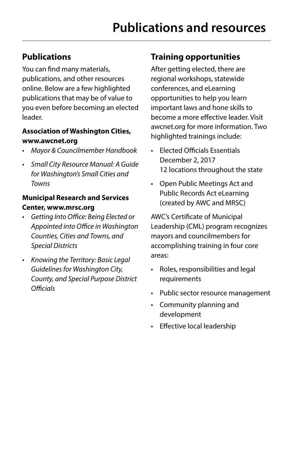# **Publications**

You can find many materials, publications, and other resources online. Below are a few highlighted publications that may be of value to you even before becoming an elected leader.

#### **Association of Washington Cities, www.awcnet.org**

- *• Mayor & Councilmember Handbook*
- *• Small City Resource Manual: A Guide for Washington's Small Cities and Towns*

#### **Municipal Research and Services Center, www.mrsc.org**

- *• Getting Into Office: Being Elected or Appointed into Office in Washington Counties, Cities and Towns, and Special Districts*
- *• Knowing the Territory: Basic Legal Guidelines for Washington City, County, and Special Purpose District Officials*

# **Training opportunities**

After getting elected, there are regional workshops, statewide conferences, and eLearning opportunities to help you learn important laws and hone skills to become a more effective leader. Visit awcnet.org for more information. Two highlighted trainings include:

- Elected Officials Essentials December 2, 2017 12 locations throughout the state
- Open Public Meetings Act and Public Records Act eLearning (created by AWC and MRSC)

AWC's Certificate of Municipal Leadership (CML) program recognizes mayors and councilmembers for accomplishing training in four core areas:

- Roles, responsibilities and legal requirements
- Public sector resource management
- Community planning and development
- Effective local leadership